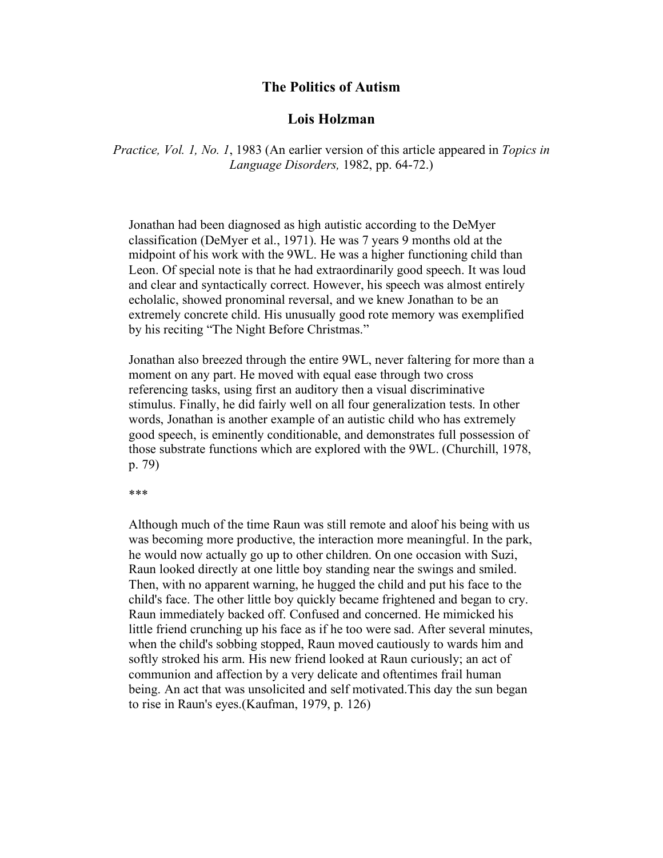## **The Politics of Autism**

## **Lois Holzman**

*Practice, Vol. 1, No. 1*, 1983 (An earlier version of this article appeared in *Topics in Language Disorders,* 1982, pp. 64-72.)

Jonathan had been diagnosed as high autistic according to the DeMyer classification (DeMyer et al., 1971). He was 7 years 9 months old at the midpoint of his work with the 9WL. He was a higher functioning child than Leon. Of special note is that he had extraordinarily good speech. It was loud and clear and syntactically correct. However, his speech was almost entirely echolalic, showed pronominal reversal, and we knew Jonathan to be an extremely concrete child. His unusually good rote memory was exemplified by his reciting "The Night Before Christmas."

Jonathan also breezed through the entire 9WL, never faltering for more than a moment on any part. He moved with equal ease through two cross referencing tasks, using first an auditory then a visual discriminative stimulus. Finally, he did fairly well on all four generalization tests. In other words, Jonathan is another example of an autistic child who has extremely good speech, is eminently conditionable, and demonstrates full possession of those substrate functions which are explored with the 9WL. (Churchill, 1978, p. 79)

\*\*\*

Although much of the time Raun was still remote and aloof his being with us was becoming more productive, the interaction more meaningful. In the park, he would now actually go up to other children. On one occasion with Suzi, Raun looked directly at one little boy standing near the swings and smiled. Then, with no apparent warning, he hugged the child and put his face to the child's face. The other little boy quickly became frightened and began to cry. Raun immediately backed off. Confused and concerned. He mimicked his little friend crunching up his face as if he too were sad. After several minutes, when the child's sobbing stopped, Raun moved cautiously to wards him and softly stroked his arm. His new friend looked at Raun curiously; an act of communion and affection by a very delicate and oftentimes frail human being. An act that was unsolicited and self motivated.This day the sun began to rise in Raun's eyes.(Kaufman, 1979, p. 126)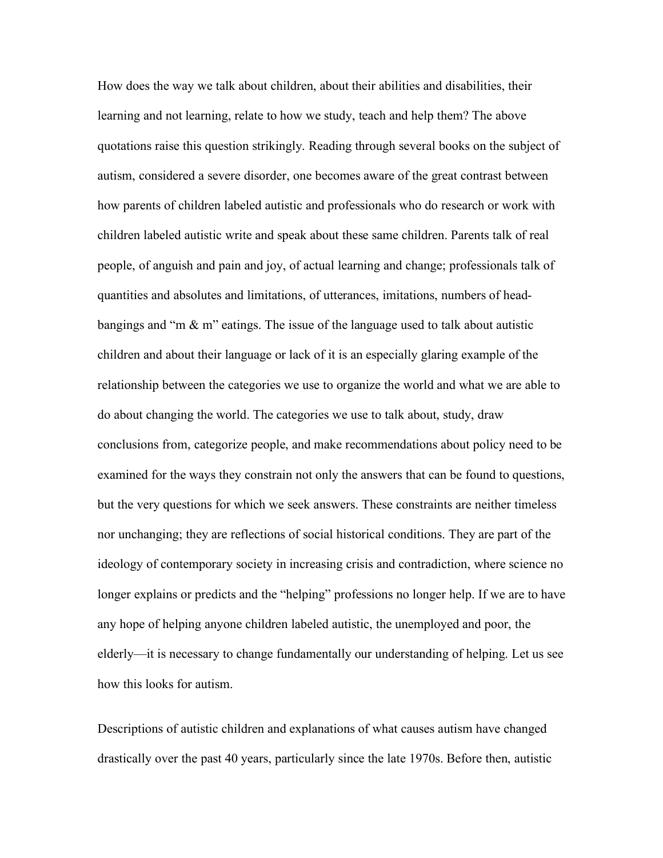How does the way we talk about children, about their abilities and disabilities, their learning and not learning, relate to how we study, teach and help them? The above quotations raise this question strikingly. Reading through several books on the subject of autism, considered a severe disorder, one becomes aware of the great contrast between how parents of children labeled autistic and professionals who do research or work with children labeled autistic write and speak about these same children. Parents talk of real people, of anguish and pain and joy, of actual learning and change; professionals talk of quantities and absolutes and limitations, of utterances, imitations, numbers of headbangings and "m  $\&$  m" eatings. The issue of the language used to talk about autistic children and about their language or lack of it is an especially glaring example of the relationship between the categories we use to organize the world and what we are able to do about changing the world. The categories we use to talk about, study, draw conclusions from, categorize people, and make recommendations about policy need to be examined for the ways they constrain not only the answers that can be found to questions, but the very questions for which we seek answers. These constraints are neither timeless nor unchanging; they are reflections of social historical conditions. They are part of the ideology of contemporary society in increasing crisis and contradiction, where science no longer explains or predicts and the "helping" professions no longer help. If we are to have any hope of helping anyone children labeled autistic, the unemployed and poor, the elderly—it is necessary to change fundamentally our understanding of helping. Let us see how this looks for autism.

Descriptions of autistic children and explanations of what causes autism have changed drastically over the past 40 years, particularly since the late 1970s. Before then, autistic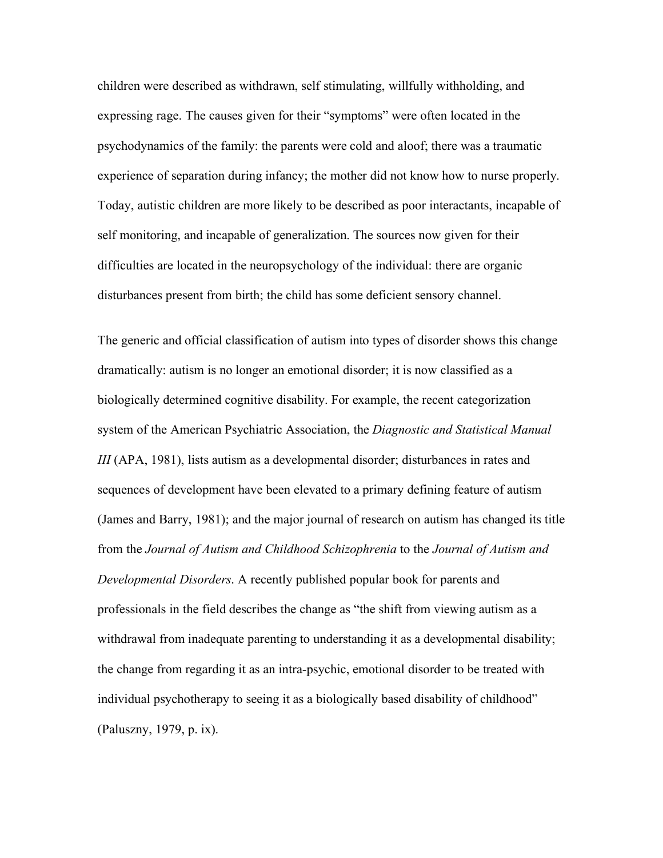children were described as withdrawn, self stimulating, willfully withholding, and expressing rage. The causes given for their "symptoms" were often located in the psychodynamics of the family: the parents were cold and aloof; there was a traumatic experience of separation during infancy; the mother did not know how to nurse properly. Today, autistic children are more likely to be described as poor interactants, incapable of self monitoring, and incapable of generalization. The sources now given for their difficulties are located in the neuropsychology of the individual: there are organic disturbances present from birth; the child has some deficient sensory channel.

The generic and official classification of autism into types of disorder shows this change dramatically: autism is no longer an emotional disorder; it is now classified as a biologically determined cognitive disability. For example, the recent categorization system of the American Psychiatric Association, the *Diagnostic and Statistical Manual III* (APA, 1981), lists autism as a developmental disorder; disturbances in rates and sequences of development have been elevated to a primary defining feature of autism (James and Barry, 1981); and the major journal of research on autism has changed its title from the *Journal of Autism and Childhood Schizophrenia* to the *Journal of Autism and Developmental Disorders*. A recently published popular book for parents and professionals in the field describes the change as "the shift from viewing autism as a withdrawal from inadequate parenting to understanding it as a developmental disability; the change from regarding it as an intra-psychic, emotional disorder to be treated with individual psychotherapy to seeing it as a biologically based disability of childhood" (Paluszny, 1979, p. ix).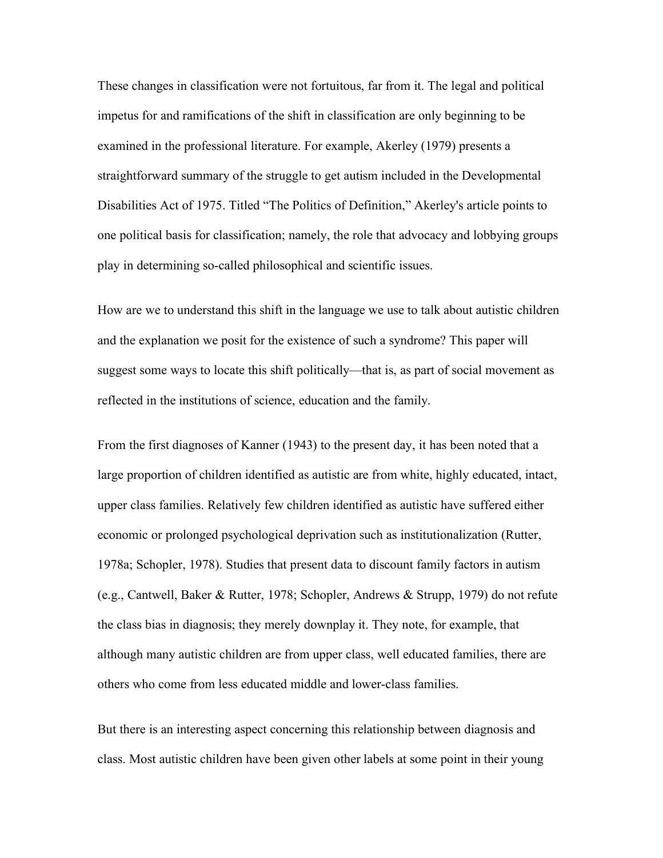These changes in classification were not fortuitous, far from it. The legal and political impetus for and ramifications of the shift in classification are only beginning to be examined in the professional literature. For example, Akerley (1979) presents a straightforward summary of the struggle to get autism included in the Developmental Disabilities Act of 1975. Titled "The Politics of Definition," Akerley's article points to one political basis for classification; namely, the role that advocacy and lobbying groups play in determining so-called philosophical and scientific issues.

How are we to understand this shift in the language we use to talk about autistic children and the explanation we posit for the existence of such a syndrome? This paper will suggest some ways to locate this shift politically—that is, as part of social movement as reflected in the institutions of science, education and the family.

From the first diagnoses of Kanner (1943) to the present day, it has been noted that a large proportion of children identified as autistic are from white, highly educated, intact, upper class families. Relatively few children identified as autistic have suffered either economic or prolonged psychological deprivation such as institutionalization (Rutter, 1978a; Schopler, 1978). Studies that present data to discount family factors in autism (e.g., Cantwell, Baker & Rutter, 1978; Schopler, Andrews & Strupp, 1979) do not refute the class bias in diagnosis; they merely downplay it. They note, for example, that although many autistic children are from upper class, well educated families, there are others who come from less educated middle and lower-class families.

But there is an interesting aspect concerning this relationship between diagnosis and class. Most autistic children have been given other labels at some point in their young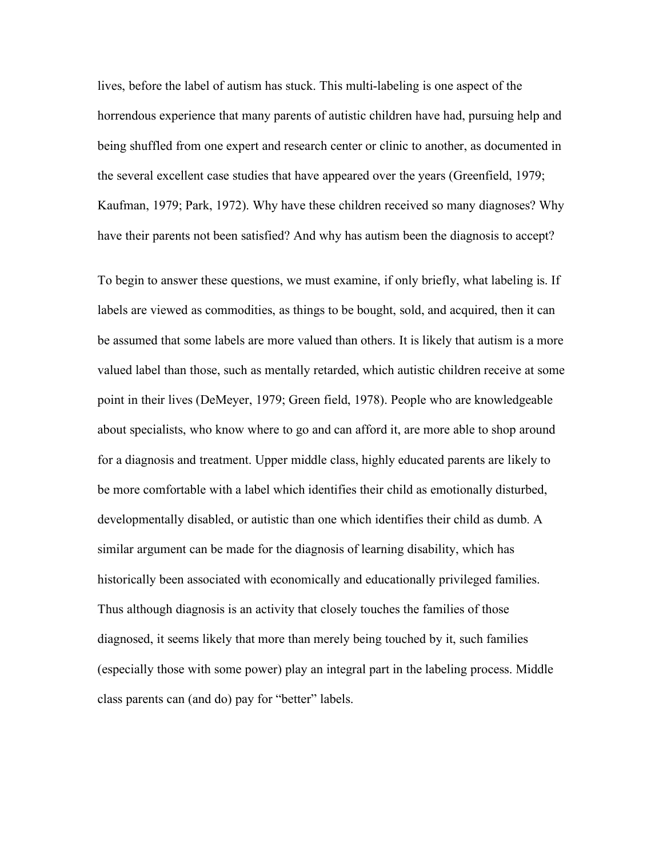lives, before the label of autism has stuck. This multi-labeling is one aspect of the horrendous experience that many parents of autistic children have had, pursuing help and being shuffled from one expert and research center or clinic to another, as documented in the several excellent case studies that have appeared over the years (Greenfield, 1979; Kaufman, 1979; Park, 1972). Why have these children received so many diagnoses? Why have their parents not been satisfied? And why has autism been the diagnosis to accept?

To begin to answer these questions, we must examine, if only briefly, what labeling is. If labels are viewed as commodities, as things to be bought, sold, and acquired, then it can be assumed that some labels are more valued than others. It is likely that autism is a more valued label than those, such as mentally retarded, which autistic children receive at some point in their lives (DeMeyer, 1979; Green field, 1978). People who are knowledgeable about specialists, who know where to go and can afford it, are more able to shop around for a diagnosis and treatment. Upper middle class, highly educated parents are likely to be more comfortable with a label which identifies their child as emotionally disturbed, developmentally disabled, or autistic than one which identifies their child as dumb. A similar argument can be made for the diagnosis of learning disability, which has historically been associated with economically and educationally privileged families. Thus although diagnosis is an activity that closely touches the families of those diagnosed, it seems likely that more than merely being touched by it, such families (especially those with some power) play an integral part in the labeling process. Middle class parents can (and do) pay for "better" labels.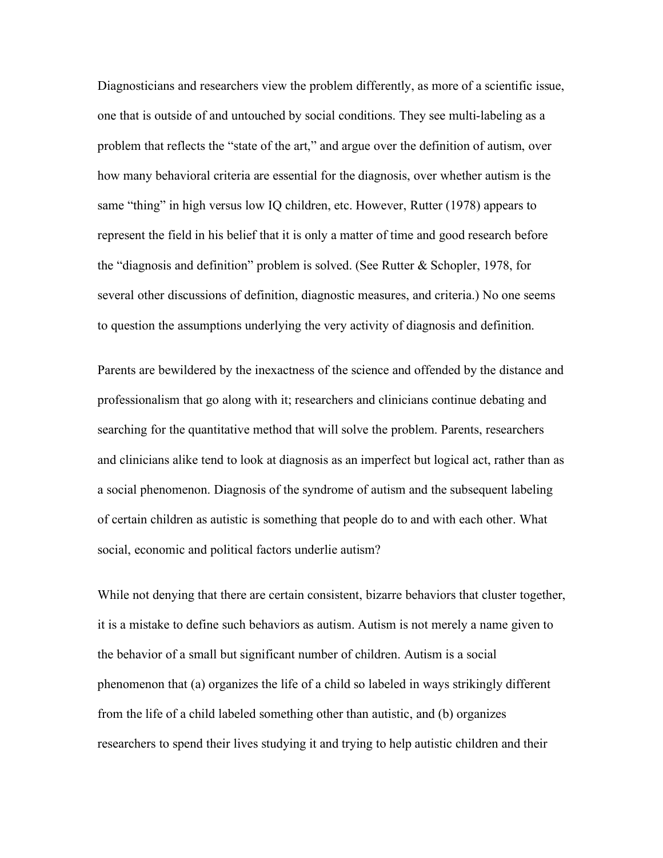Diagnosticians and researchers view the problem differently, as more of a scientific issue, one that is outside of and untouched by social conditions. They see multi-labeling as a problem that reflects the "state of the art," and argue over the definition of autism, over how many behavioral criteria are essential for the diagnosis, over whether autism is the same "thing" in high versus low IQ children, etc. However, Rutter (1978) appears to represent the field in his belief that it is only a matter of time and good research before the "diagnosis and definition" problem is solved. (See Rutter & Schopler, 1978, for several other discussions of definition, diagnostic measures, and criteria.) No one seems to question the assumptions underlying the very activity of diagnosis and definition.

Parents are bewildered by the inexactness of the science and offended by the distance and professionalism that go along with it; researchers and clinicians continue debating and searching for the quantitative method that will solve the problem. Parents, researchers and clinicians alike tend to look at diagnosis as an imperfect but logical act, rather than as a social phenomenon. Diagnosis of the syndrome of autism and the subsequent labeling of certain children as autistic is something that people do to and with each other. What social, economic and political factors underlie autism?

While not denying that there are certain consistent, bizarre behaviors that cluster together, it is a mistake to define such behaviors as autism. Autism is not merely a name given to the behavior of a small but significant number of children. Autism is a social phenomenon that (a) organizes the life of a child so labeled in ways strikingly different from the life of a child labeled something other than autistic, and (b) organizes researchers to spend their lives studying it and trying to help autistic children and their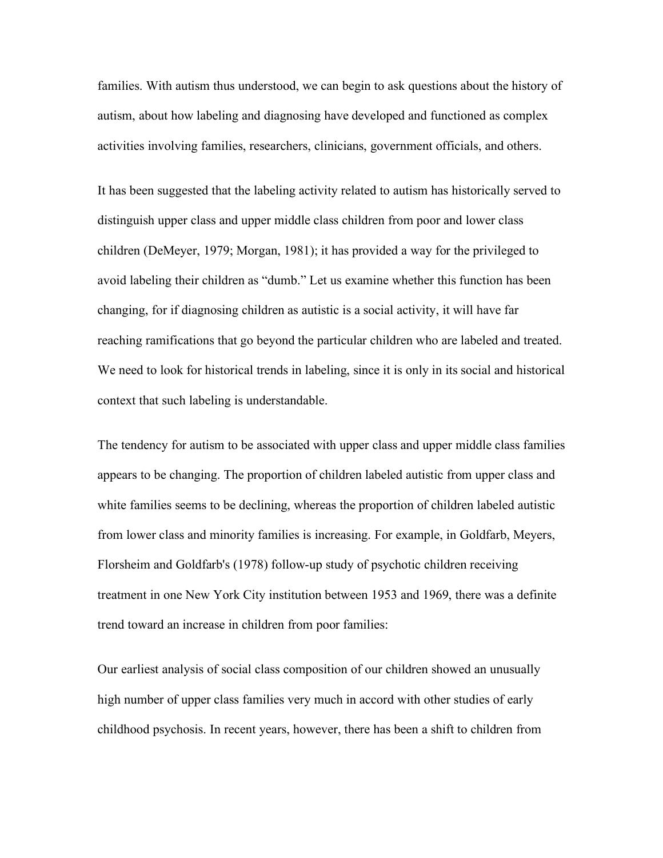families. With autism thus understood, we can begin to ask questions about the history of autism, about how labeling and diagnosing have developed and functioned as complex activities involving families, researchers, clinicians, government officials, and others.

It has been suggested that the labeling activity related to autism has historically served to distinguish upper class and upper middle class children from poor and lower class children (DeMeyer, 1979; Morgan, 1981); it has provided a way for the privileged to avoid labeling their children as "dumb." Let us examine whether this function has been changing, for if diagnosing children as autistic is a social activity, it will have far reaching ramifications that go beyond the particular children who are labeled and treated. We need to look for historical trends in labeling, since it is only in its social and historical context that such labeling is understandable.

The tendency for autism to be associated with upper class and upper middle class families appears to be changing. The proportion of children labeled autistic from upper class and white families seems to be declining, whereas the proportion of children labeled autistic from lower class and minority families is increasing. For example, in Goldfarb, Meyers, Florsheim and Goldfarb's (1978) follow-up study of psychotic children receiving treatment in one New York City institution between 1953 and 1969, there was a definite trend toward an increase in children from poor families:

Our earliest analysis of social class composition of our children showed an unusually high number of upper class families very much in accord with other studies of early childhood psychosis. In recent years, however, there has been a shift to children from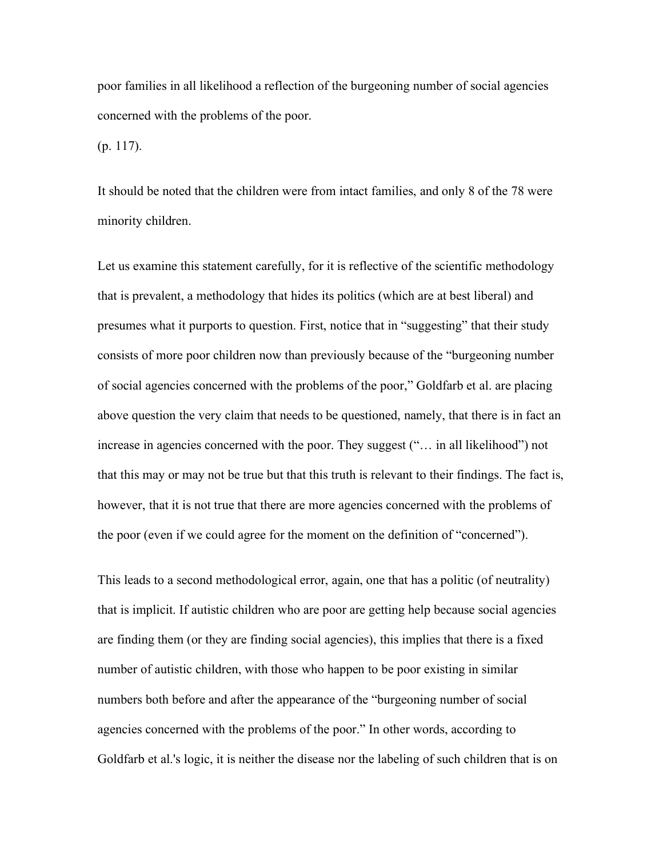poor families in all likelihood a reflection of the burgeoning number of social agencies concerned with the problems of the poor.

(p. 117).

It should be noted that the children were from intact families, and only 8 of the 78 were minority children.

Let us examine this statement carefully, for it is reflective of the scientific methodology that is prevalent, a methodology that hides its politics (which are at best liberal) and presumes what it purports to question. First, notice that in "suggesting" that their study consists of more poor children now than previously because of the "burgeoning number of social agencies concerned with the problems of the poor," Goldfarb et al. are placing above question the very claim that needs to be questioned, namely, that there is in fact an increase in agencies concerned with the poor. They suggest ("… in all likelihood") not that this may or may not be true but that this truth is relevant to their findings. The fact is, however, that it is not true that there are more agencies concerned with the problems of the poor (even if we could agree for the moment on the definition of "concerned").

This leads to a second methodological error, again, one that has a politic (of neutrality) that is implicit. If autistic children who are poor are getting help because social agencies are finding them (or they are finding social agencies), this implies that there is a fixed number of autistic children, with those who happen to be poor existing in similar numbers both before and after the appearance of the "burgeoning number of social agencies concerned with the problems of the poor." In other words, according to Goldfarb et al.'s logic, it is neither the disease nor the labeling of such children that is on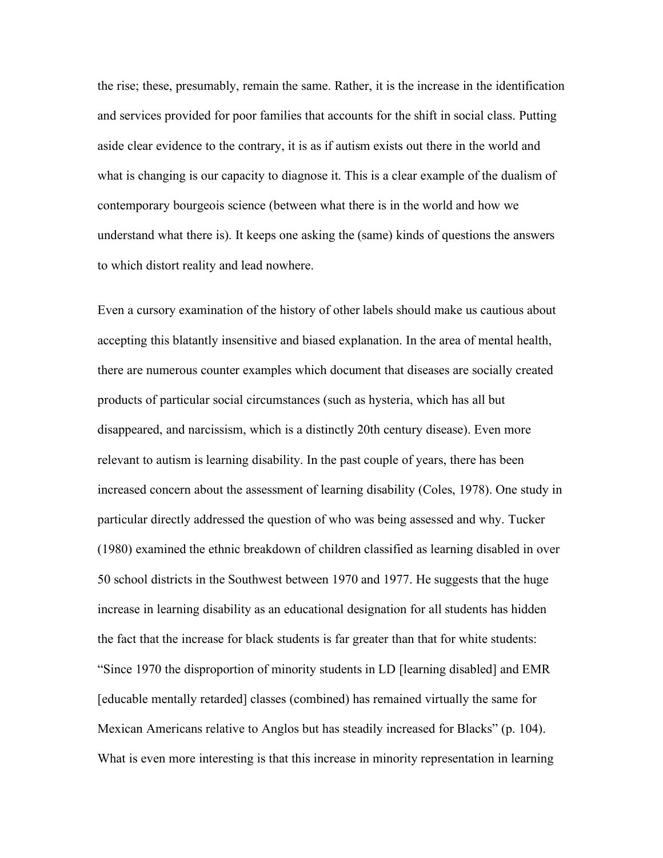the rise; these, presumably, remain the same. Rather, it is the increase in the identification and services provided for poor families that accounts for the shift in social class. Putting aside clear evidence to the contrary, it is as if autism exists out there in the world and what is changing is our capacity to diagnose it. This is a clear example of the dualism of contemporary bourgeois science (between what there is in the world and how we understand what there is). It keeps one asking the (same) kinds of questions the answers to which distort reality and lead nowhere.

Even a cursory examination of the history of other labels should make us cautious about accepting this blatantly insensitive and biased explanation. In the area of mental health, there are numerous counter examples which document that diseases are socially created products of particular social circumstances (such as hysteria, which has all but disappeared, and narcissism, which is a distinctly 20th century disease). Even more relevant to autism is learning disability. In the past couple of years, there has been increased concern about the assessment of learning disability (Coles, 1978). One study in particular directly addressed the question of who was being assessed and why. Tucker (1980) examined the ethnic breakdown of children classified as learning disabled in over 50 school districts in the Southwest between 1970 and 1977. He suggests that the huge increase in learning disability as an educational designation for all students has hidden the fact that the increase for black students is far greater than that for white students: "Since 1970 the disproportion of minority students in LD [learning disabled] and EMR [educable mentally retarded] classes (combined) has remained virtually the same for Mexican Americans relative to Anglos but has steadily increased for Blacks" (p. 104). What is even more interesting is that this increase in minority representation in learning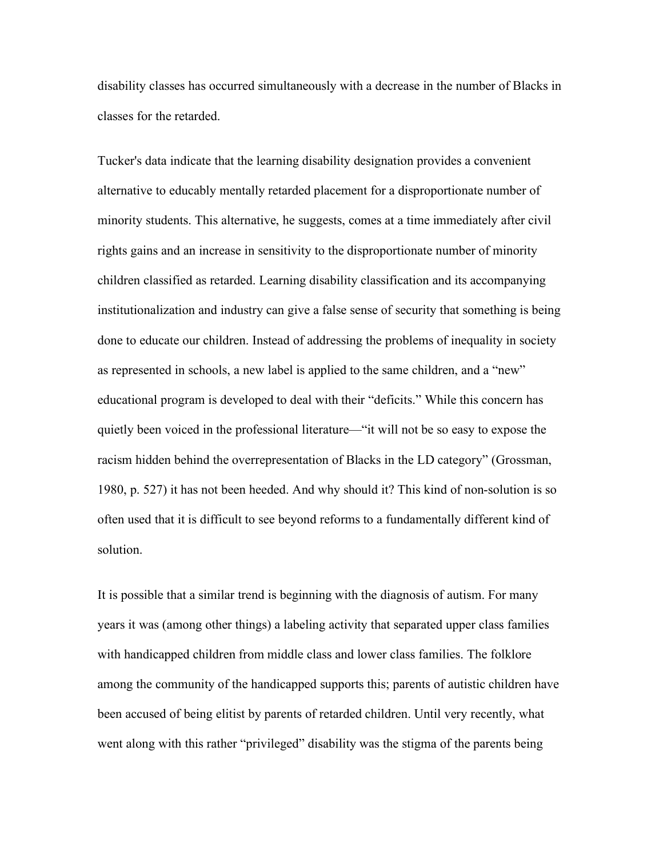disability classes has occurred simultaneously with a decrease in the number of Blacks in classes for the retarded.

Tucker's data indicate that the learning disability designation provides a convenient alternative to educably mentally retarded placement for a disproportionate number of minority students. This alternative, he suggests, comes at a time immediately after civil rights gains and an increase in sensitivity to the disproportionate number of minority children classified as retarded. Learning disability classification and its accompanying institutionalization and industry can give a false sense of security that something is being done to educate our children. Instead of addressing the problems of inequality in society as represented in schools, a new label is applied to the same children, and a "new" educational program is developed to deal with their "deficits." While this concern has quietly been voiced in the professional literature—"it will not be so easy to expose the racism hidden behind the overrepresentation of Blacks in the LD category" (Grossman, 1980, p. 527) it has not been heeded. And why should it? This kind of non-solution is so often used that it is difficult to see beyond reforms to a fundamentally different kind of solution.

It is possible that a similar trend is beginning with the diagnosis of autism. For many years it was (among other things) a labeling activity that separated upper class families with handicapped children from middle class and lower class families. The folklore among the community of the handicapped supports this; parents of autistic children have been accused of being elitist by parents of retarded children. Until very recently, what went along with this rather "privileged" disability was the stigma of the parents being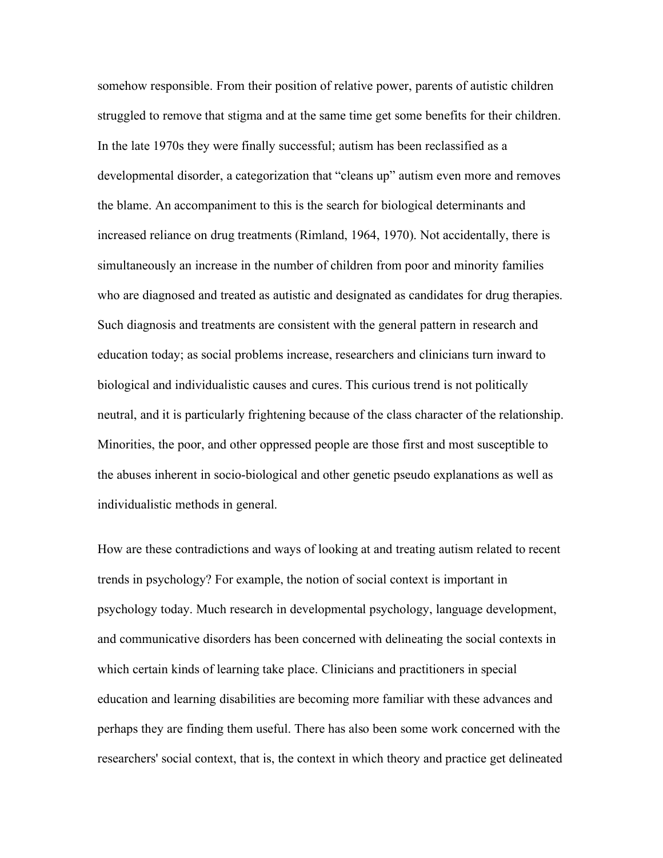somehow responsible. From their position of relative power, parents of autistic children struggled to remove that stigma and at the same time get some benefits for their children. In the late 1970s they were finally successful; autism has been reclassified as a developmental disorder, a categorization that "cleans up" autism even more and removes the blame. An accompaniment to this is the search for biological determinants and increased reliance on drug treatments (Rimland, 1964, 1970). Not accidentally, there is simultaneously an increase in the number of children from poor and minority families who are diagnosed and treated as autistic and designated as candidates for drug therapies. Such diagnosis and treatments are consistent with the general pattern in research and education today; as social problems increase, researchers and clinicians turn inward to biological and individualistic causes and cures. This curious trend is not politically neutral, and it is particularly frightening because of the class character of the relationship. Minorities, the poor, and other oppressed people are those first and most susceptible to the abuses inherent in socio-biological and other genetic pseudo explanations as well as individualistic methods in general.

How are these contradictions and ways of looking at and treating autism related to recent trends in psychology? For example, the notion of social context is important in psychology today. Much research in developmental psychology, language development, and communicative disorders has been concerned with delineating the social contexts in which certain kinds of learning take place. Clinicians and practitioners in special education and learning disabilities are becoming more familiar with these advances and perhaps they are finding them useful. There has also been some work concerned with the researchers' social context, that is, the context in which theory and practice get delineated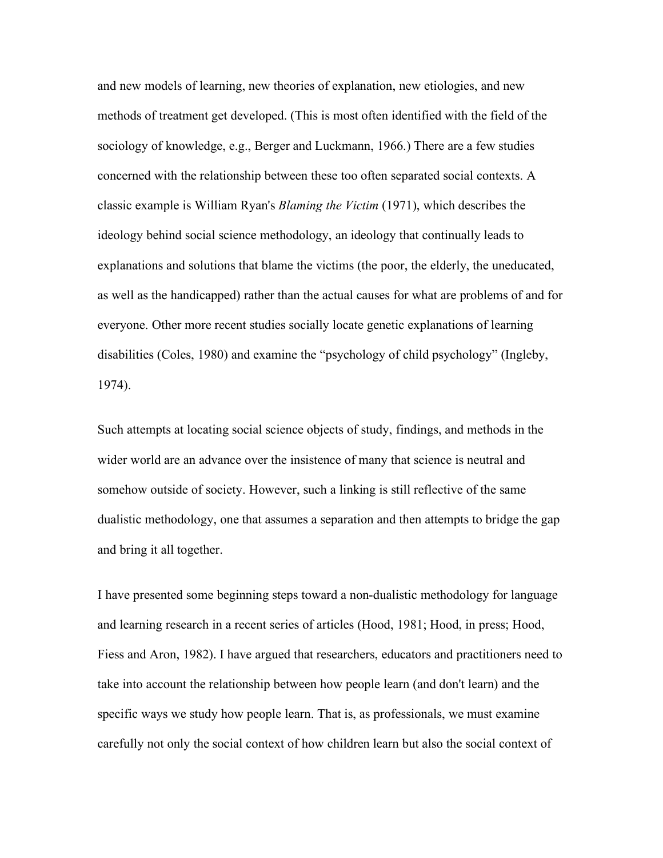and new models of learning, new theories of explanation, new etiologies, and new methods of treatment get developed. (This is most often identified with the field of the sociology of knowledge, e.g., Berger and Luckmann, 1966.) There are a few studies concerned with the relationship between these too often separated social contexts. A classic example is William Ryan's *Blaming the Victim* (1971), which describes the ideology behind social science methodology, an ideology that continually leads to explanations and solutions that blame the victims (the poor, the elderly, the uneducated, as well as the handicapped) rather than the actual causes for what are problems of and for everyone. Other more recent studies socially locate genetic explanations of learning disabilities (Coles, 1980) and examine the "psychology of child psychology" (Ingleby, 1974).

Such attempts at locating social science objects of study, findings, and methods in the wider world are an advance over the insistence of many that science is neutral and somehow outside of society. However, such a linking is still reflective of the same dualistic methodology, one that assumes a separation and then attempts to bridge the gap and bring it all together.

I have presented some beginning steps toward a non-dualistic methodology for language and learning research in a recent series of articles (Hood, 1981; Hood, in press; Hood, Fiess and Aron, 1982). I have argued that researchers, educators and practitioners need to take into account the relationship between how people learn (and don't learn) and the specific ways we study how people learn. That is, as professionals, we must examine carefully not only the social context of how children learn but also the social context of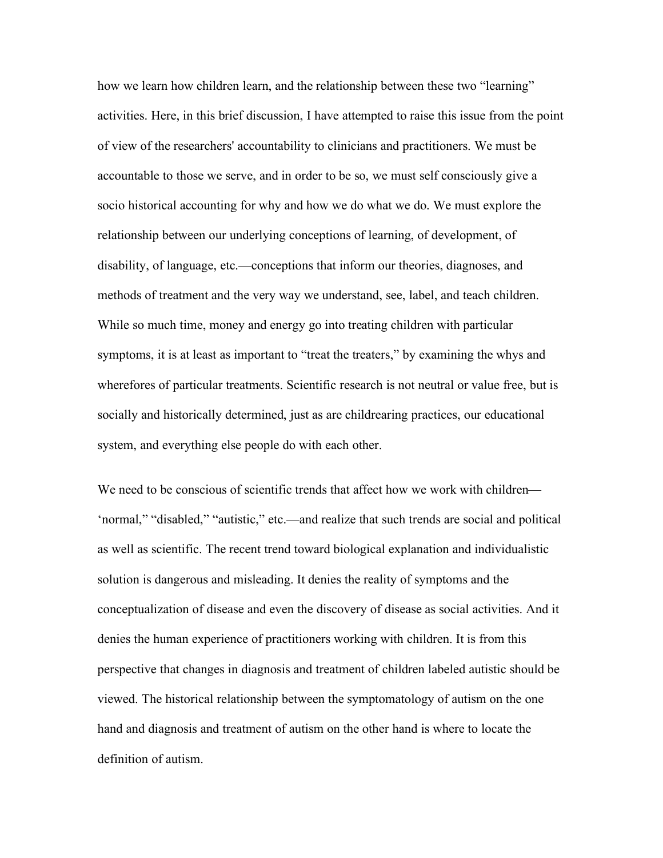how we learn how children learn, and the relationship between these two "learning" activities. Here, in this brief discussion, I have attempted to raise this issue from the point of view of the researchers' accountability to clinicians and practitioners. We must be accountable to those we serve, and in order to be so, we must self consciously give a socio historical accounting for why and how we do what we do. We must explore the relationship between our underlying conceptions of learning, of development, of disability, of language, etc.—conceptions that inform our theories, diagnoses, and methods of treatment and the very way we understand, see, label, and teach children. While so much time, money and energy go into treating children with particular symptoms, it is at least as important to "treat the treaters," by examining the whys and wherefores of particular treatments. Scientific research is not neutral or value free, but is socially and historically determined, just as are childrearing practices, our educational system, and everything else people do with each other.

We need to be conscious of scientific trends that affect how we work with children— 'normal," "disabled," "autistic," etc.—and realize that such trends are social and political as well as scientific. The recent trend toward biological explanation and individualistic solution is dangerous and misleading. It denies the reality of symptoms and the conceptualization of disease and even the discovery of disease as social activities. And it denies the human experience of practitioners working with children. It is from this perspective that changes in diagnosis and treatment of children labeled autistic should be viewed. The historical relationship between the symptomatology of autism on the one hand and diagnosis and treatment of autism on the other hand is where to locate the definition of autism.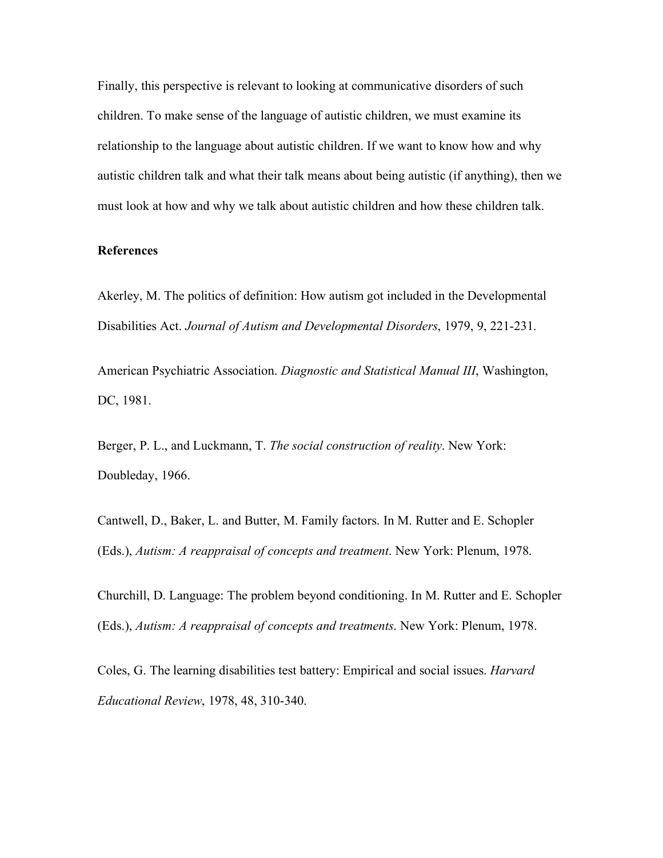Finally, this perspective is relevant to looking at communicative disorders of such children. To make sense of the language of autistic children, we must examine its relationship to the language about autistic children. If we want to know how and why autistic children talk and what their talk means about being autistic (if anything), then we must look at how and why we talk about autistic children and how these children talk.

## **References**

Akerley, M. The politics of definition: How autism got included in the Developmental Disabilities Act. *Journal of Autism and Developmental Disorders*, 1979, 9, 221-231.

American Psychiatric Association. *Diagnostic and Statistical Manual III*, Washington, DC, 1981.

Berger, P. L., and Luckmann, T. *The social construction of reality*. New York: Doubleday, 1966.

Cantwell, D., Baker, L. and Butter, M. Family factors. In M. Rutter and E. Schopler (Eds.), *Autism: A reappraisal of concepts and treatment*. New York: Plenum, 1978.

Churchill, D. Language: The problem beyond conditioning. In M. Rutter and E. Schopler (Eds.), *Autism: A reappraisal of concepts and treatments*. New York: Plenum, 1978.

Coles, G. The learning disabilities test battery: Empirical and social issues. *Harvard Educational Review*, 1978, 48, 310-340.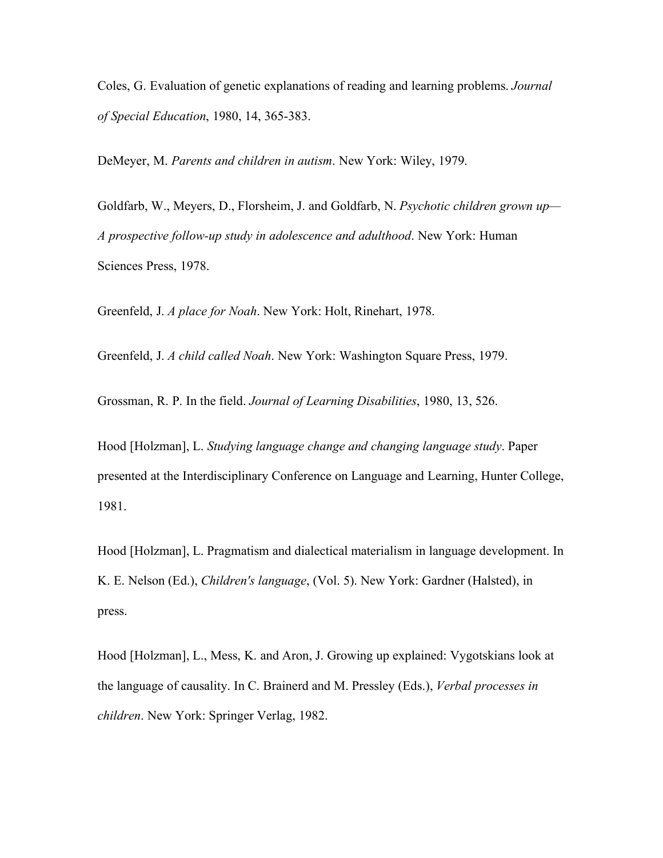Coles, G. Evaluation of genetic explanations of reading and learning problems. *Journal of Special Education*, 1980, 14, 365-383.

DeMeyer, M. *Parents and children in autism*. New York: Wiley, 1979.

Goldfarb, W., Meyers, D., Florsheim, J. and Goldfarb, N. *Psychotic children grown up— A prospective follow-up study in adolescence and adulthood*. New York: Human Sciences Press, 1978.

Greenfeld, J. *A place for Noah*. New York: Holt, Rinehart, 1978.

Greenfeld, J. *A child called Noah*. New York: Washington Square Press, 1979.

Grossman, R. P. In the field. *Journal of Learning Disabilities*, 1980, 13, 526.

Hood [Holzman], L. *Studying language change and changing language study*. Paper presented at the Interdisciplinary Conference on Language and Learning, Hunter College, 1981.

Hood [Holzman], L. Pragmatism and dialectical materialism in language development. In K. E. Nelson (Ed.), *Children's language*, (Vol. 5). New York: Gardner (Halsted), in press.

Hood [Holzman], L., Mess, K. and Aron, J. Growing up explained: Vygotskians look at the language of causality. In C. Brainerd and M. Pressley (Eds.), *Verbal processes in children*. New York: Springer Verlag, 1982.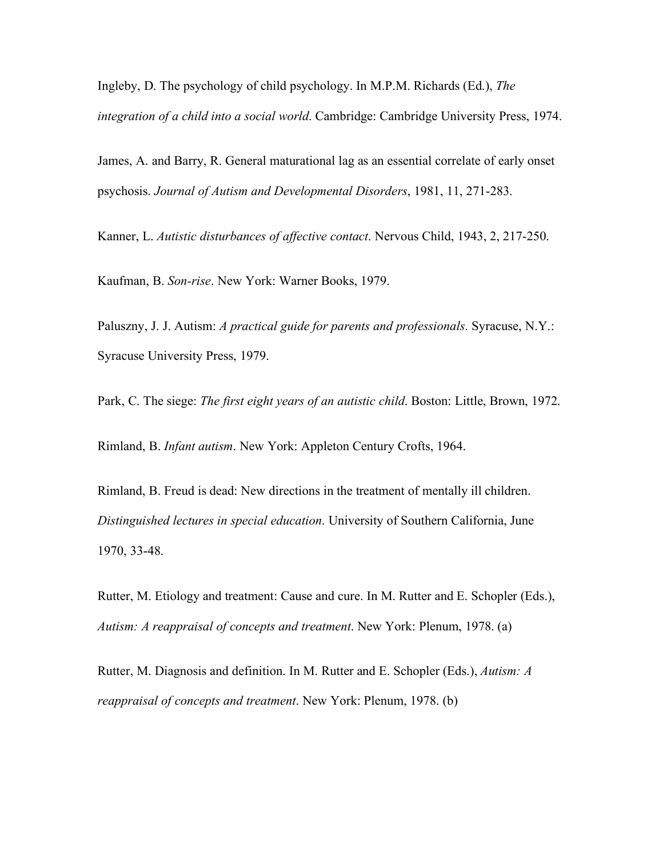Ingleby, D. The psychology of child psychology. In M.P.M. Richards (Ed.), *The integration of a child into a social world*. Cambridge: Cambridge University Press, 1974.

James, A. and Barry, R. General maturational lag as an essential correlate of early onset psychosis. *Journal of Autism and Developmental Disorders*, 1981, 11, 271-283.

Kanner, L. *Autistic disturbances of affective contact*. Nervous Child, 1943, 2, 217-250.

Kaufman, B. *Son-rise*. New York: Warner Books, 1979.

Paluszny, J. J. Autism: *A practical guide for parents and professionals*. Syracuse, N.Y.: Syracuse University Press, 1979.

Park, C. The siege: *The first eight years of an autistic child*. Boston: Little, Brown, 1972.

Rimland, B. *Infant autism*. New York: Appleton Century Crofts, 1964.

Rimland, B. Freud is dead: New directions in the treatment of mentally ill children. *Distinguished lectures in special education*. University of Southern California, June 1970, 33-48.

Rutter, M. Etiology and treatment: Cause and cure. In M. Rutter and E. Schopler (Eds.), *Autism: A reappraisal of concepts and treatment*. New York: Plenum, 1978. (a)

Rutter, M. Diagnosis and definition. In M. Rutter and E. Schopler (Eds.), *Autism: A reappraisal of concepts and treatment*. New York: Plenum, 1978. (b)